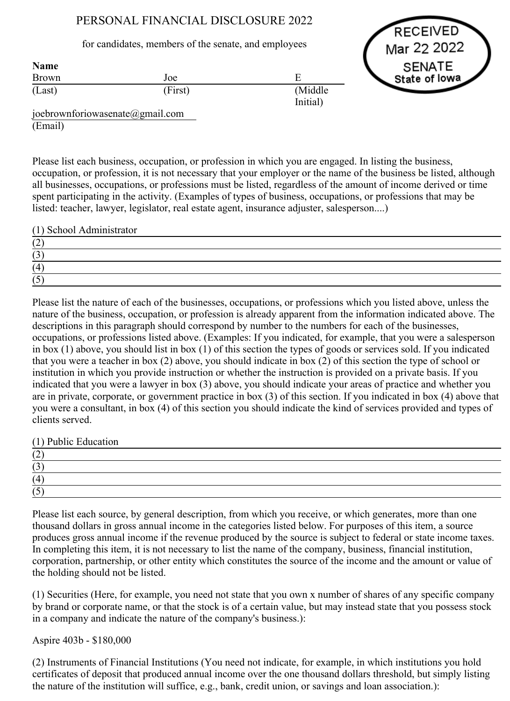# PERSONAL FINANCIAL DISCLOSURE 2022

### for candidates, members of the senate, and employees

RECEIVED Mar 22 2022 **SENATE** State of lowa

| <b>Name</b> |         |                     |
|-------------|---------|---------------------|
| Brown       | Joe     |                     |
| (Last)      | (First) | (Middle<br>Initial) |
|             |         |                     |

joebrownforiowasenate@gmail.com (Email)

Please list each business, occupation, or profession in which you are engaged. In listing the business, occupation, or profession, it is not necessary that your employer or the name of the business be listed, although all businesses, occupations, or professions must be listed, regardless of the amount of income derived or time spent participating in the activity. (Examples of types of business, occupations, or professions that may be listed: teacher, lawyer, legislator, real estate agent, insurance adjuster, salesperson....)

(1) School Administrator

| $\sqrt{2}$ |  |
|------------|--|
|            |  |
|            |  |
|            |  |

Please list the nature of each of the businesses, occupations, or professions which you listed above, unless the nature of the business, occupation, or profession is already apparent from the information indicated above. The descriptions in this paragraph should correspond by number to the numbers for each of the businesses, occupations, or professions listed above. (Examples: If you indicated, for example, that you were a salesperson in box (1) above, you should list in box (1) of this section the types of goods or services sold. If you indicated that you were a teacher in box (2) above, you should indicate in box (2) of this section the type of school or institution in which you provide instruction or whether the instruction is provided on a private basis. If you indicated that you were a lawyer in box (3) above, you should indicate your areas of practice and whether you are in private, corporate, or government practice in box (3) of this section. If you indicated in box (4) above that you were a consultant, in box (4) of this section you should indicate the kind of services provided and types of clients served.

(1) Public Education

| ॱ∸  |  |  |
|-----|--|--|
| 1 J |  |  |
| (4) |  |  |
| . J |  |  |

Please list each source, by general description, from which you receive, or which generates, more than one thousand dollars in gross annual income in the categories listed below. For purposes of this item, a source produces gross annual income if the revenue produced by the source is subject to federal or state income taxes. In completing this item, it is not necessary to list the name of the company, business, financial institution, corporation, partnership, or other entity which constitutes the source of the income and the amount or value of the holding should not be listed.

(1) Securities (Here, for example, you need not state that you own x number of shares of any specific company by brand or corporate name, or that the stock is of a certain value, but may instead state that you possess stock in a company and indicate the nature of the company's business.):

## Aspire 403b - \$180,000

(2) Instruments of Financial Institutions (You need not indicate, for example, in which institutions you hold certificates of deposit that produced annual income over the one thousand dollars threshold, but simply listing the nature of the institution will suffice, e.g., bank, credit union, or savings and loan association.):